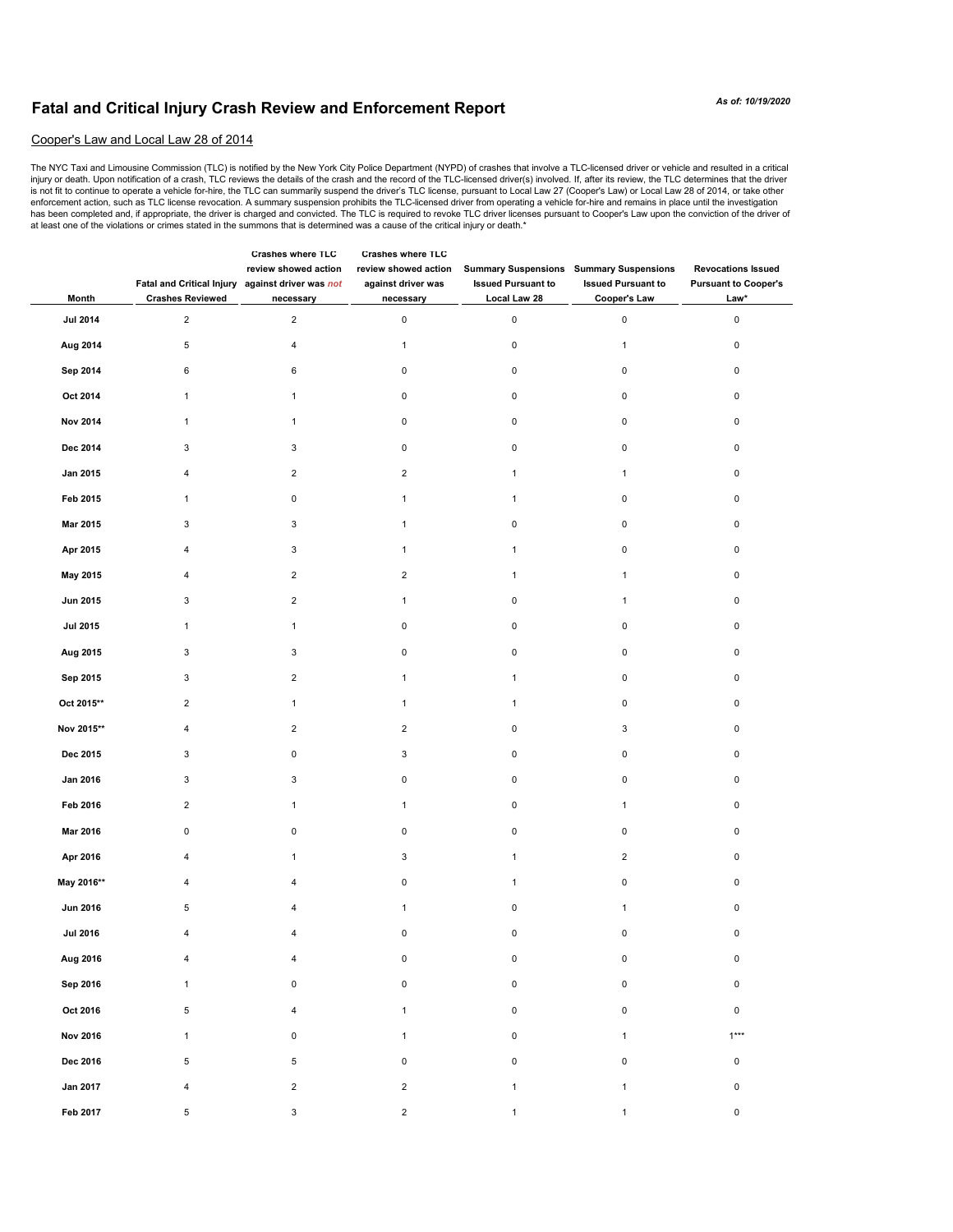## **Fatal and Critical Injury Crash Review and Enforcement Report**

## Cooper's Law and Local Law 28 of 2014

The NYC Taxi and Limousine Commission (TLC) is notified by the New York City Police Department (NYPD) of crashes that involve a TLC-licensed driver or vehicle and resulted in a critical<br>injuy or death. Upon notification of enforcement action, such as TLC license revocation. A summary suspension prohibits the TLC-licensed driver from operating a vehicle for-hire and remains in place until the investigation has been completed and, if appropriate, the driver is charged and convicted. The TLC is required to revoke TLC driver licenses pursuant to Cooper's Law upon the conviction of the driver of at least one of the violations or crimes stated in the summons that is determined was a cause of the critical injury or death.\*

| Month           | Fatal and Critical Injury against driver was not<br><b>Crashes Reviewed</b> | Crasnes where ILC<br>review showed action<br>necessary | <b>Crashes where ILC</b><br>review showed action<br>against driver was<br>necessary | <b>Issued Pursuant to</b><br>Local Law 28 | <b>Summary Suspensions Summary Suspensions</b><br><b>Issued Pursuant to</b><br>Cooper's Law | <b>Revocations Issued</b><br><b>Pursuant to Cooper's</b><br>Law* |
|-----------------|-----------------------------------------------------------------------------|--------------------------------------------------------|-------------------------------------------------------------------------------------|-------------------------------------------|---------------------------------------------------------------------------------------------|------------------------------------------------------------------|
| <b>Jul 2014</b> | $\overline{c}$                                                              | $\overline{2}$                                         | $\pmb{0}$                                                                           | $\pmb{0}$                                 | $\pmb{0}$                                                                                   | $\pmb{0}$                                                        |
| Aug 2014        | $\,$ 5 $\,$                                                                 | 4                                                      | $\mathbf{1}$                                                                        | 0                                         | $\mathbf{1}$                                                                                | $\mathsf 0$                                                      |
| Sep 2014        | 6                                                                           | 6                                                      | $\mathsf 0$                                                                         | 0                                         | 0                                                                                           | $\mathbf 0$                                                      |
| Oct 2014        | $\mathbf{1}$                                                                | $\mathbf{1}$                                           | $\pmb{0}$                                                                           | $\pmb{0}$                                 | 0                                                                                           | $\mathbf 0$                                                      |
| <b>Nov 2014</b> | $\mathbf{1}$                                                                | $\mathbf{1}$                                           | $\pmb{0}$                                                                           | 0                                         | 0                                                                                           | $\mathbf 0$                                                      |
| Dec 2014        | 3                                                                           | 3                                                      | $\pmb{0}$                                                                           | 0                                         | 0                                                                                           | $\mathbf 0$                                                      |
| Jan 2015        | 4                                                                           | $\overline{2}$                                         | $\overline{c}$                                                                      | 1                                         | $\mathbf{1}$                                                                                | $\mathbf 0$                                                      |
| Feb 2015        | $\mathbf{1}$                                                                | 0                                                      | $\mathbf{1}$                                                                        | $\mathbf{1}$                              | $\mathsf 0$                                                                                 | $\mathbf 0$                                                      |
| Mar 2015        | 3                                                                           | 3                                                      | $\mathbf{1}$                                                                        | $\mathbf 0$                               | 0                                                                                           | $\mathbf 0$                                                      |
| Apr 2015        | 4                                                                           | 3                                                      | $\mathbf{1}$                                                                        | 1                                         | $\mathsf 0$                                                                                 | $\mathbf 0$                                                      |
| May 2015        | 4                                                                           | $\overline{2}$                                         | $\overline{2}$                                                                      | $\mathbf{1}$                              | $\mathbf{1}$                                                                                | 0                                                                |
| Jun 2015        | 3                                                                           | $\overline{2}$                                         | $\mathbf{1}$                                                                        | $\pmb{0}$                                 | $\mathbf{1}$                                                                                | $\mathbf 0$                                                      |
| <b>Jul 2015</b> | $\mathbf{1}$                                                                | $\mathbf{1}$                                           | $\pmb{0}$                                                                           | $\mathbf 0$                               | $\mathbf 0$                                                                                 | $\mathsf 0$                                                      |
| Aug 2015        | 3                                                                           | 3                                                      | $\pmb{0}$                                                                           | $\pmb{0}$                                 | $\mathsf 0$                                                                                 | $\mathbf 0$                                                      |
| Sep 2015        | 3                                                                           | $\overline{2}$                                         | $\mathbf{1}$                                                                        | 1                                         | $\pmb{0}$                                                                                   | $\mathsf 0$                                                      |
| Oct 2015**      | $\overline{2}$                                                              | $\mathbf{1}$                                           | $\mathbf{1}$                                                                        | $\mathbf{1}$                              | $\mathsf 0$                                                                                 | $\mathbf 0$                                                      |
| Nov 2015**      | $\overline{4}$                                                              | $\overline{2}$                                         | $\sqrt{2}$                                                                          | $\mathbf 0$                               | 3                                                                                           | $\pmb{0}$                                                        |
| Dec 2015        | $\mathsf 3$                                                                 | 0                                                      | $\ensuremath{\mathsf{3}}$                                                           | $\pmb{0}$                                 | $\mathsf 0$                                                                                 | $\mathsf 0$                                                      |
| Jan 2016        | 3                                                                           | 3                                                      | $\pmb{0}$                                                                           | $\pmb{0}$                                 | $\pmb{0}$                                                                                   | $\mathsf 0$                                                      |
| Feb 2016        | $\overline{2}$                                                              | $\mathbf{1}$                                           | $\mathbf{1}$                                                                        | $\pmb{0}$                                 | $\mathbf{1}$                                                                                | $\mathbf 0$                                                      |
| Mar 2016        | $\mathsf{O}\xspace$                                                         | $\pmb{0}$                                              | $\pmb{0}$                                                                           | $\mathbf 0$                               | $\pmb{0}$                                                                                   | $\pmb{0}$                                                        |
| Apr 2016        | 4                                                                           | $\mathbf{1}$                                           | 3                                                                                   | $\mathbf{1}$                              | $\overline{2}$                                                                              | $\mathbf 0$                                                      |
| May 2016**      | 4                                                                           | 4                                                      | $\pmb{0}$                                                                           | $\mathbf{1}$                              | $\mathsf 0$                                                                                 | $\mathbf 0$                                                      |
| <b>Jun 2016</b> | 5                                                                           | 4                                                      | $\mathbf{1}$                                                                        | $\pmb{0}$                                 | $\mathbf{1}$                                                                                | $\mathsf 0$                                                      |
| <b>Jul 2016</b> | $\overline{4}$                                                              | $\overline{\mathbf{4}}$                                | $\pmb{0}$                                                                           | 0                                         | $\pmb{0}$                                                                                   | $\pmb{0}$                                                        |
| Aug 2016        | 4                                                                           | 4                                                      | $\pmb{0}$                                                                           | $\pmb{0}$                                 | $\mathsf 0$                                                                                 | $\mathsf 0$                                                      |
| Sep 2016        | $\mathbf{1}$                                                                | 0                                                      | $\pmb{0}$                                                                           | $\mathsf 0$                               | $\pmb{0}$                                                                                   | $\mathsf 0$                                                      |
| Oct 2016        | 5                                                                           | 4                                                      | $\mathbf{1}$                                                                        | $\mathbf 0$                               | $\mathbf 0$                                                                                 | $\mathsf 0$                                                      |
| <b>Nov 2016</b> | $\mathbf{1}$                                                                | 0                                                      | $\mathbf{1}$                                                                        | $\mathsf 0$                               | $\mathbf{1}$                                                                                | $1***$                                                           |
| Dec 2016        | 5                                                                           | 5                                                      | $\mathbf 0$                                                                         | $\mathsf 0$                               | $\mathsf 0$                                                                                 | $\mathsf 0$                                                      |
| Jan 2017        | $\overline{4}$                                                              | $\overline{2}$                                         | $\overline{2}$                                                                      | $\mathbf{1}$                              | $\mathbf{1}$                                                                                | $\mathsf 0$                                                      |
| Feb 2017        | 5                                                                           | 3                                                      | $\overline{2}$                                                                      | $\mathbf{1}$                              | $\mathbf{1}$                                                                                | $\mathsf 0$                                                      |